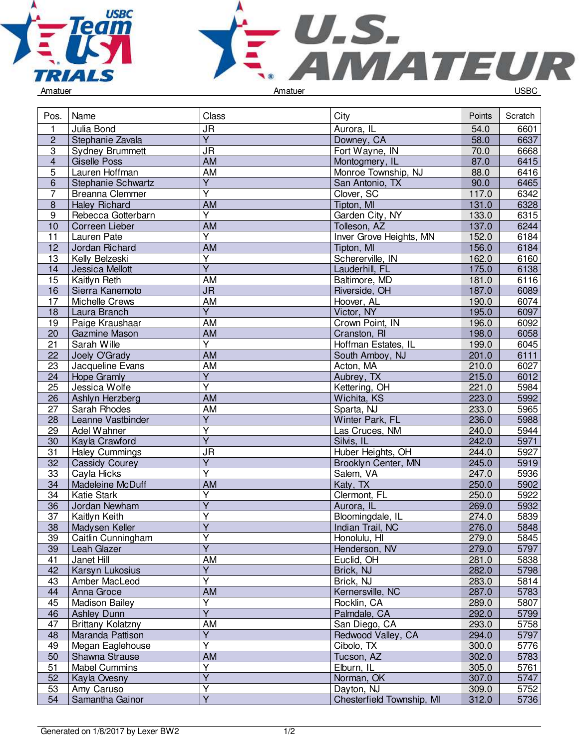



| Pos.            | Name                     | Class                             | City                      | Points | Scratch |
|-----------------|--------------------------|-----------------------------------|---------------------------|--------|---------|
| $\mathbf{1}$    | Julia Bond               | <b>JR</b>                         | Aurora, IL                | 54.0   | 6601    |
| $\overline{2}$  | Stephanie Zavala         | Ÿ                                 | Downey, CA                | 58.0   | 6637    |
| 3               | <b>Sydney Brummett</b>   | <b>JR</b>                         | Fort Wayne, IN            | 70.0   | 6668    |
| $\overline{4}$  | <b>Giselle Poss</b>      | AM                                | Montogmery, IL            | 87.0   | 6415    |
| $\overline{5}$  | Lauren Hoffman           | <b>AM</b>                         | Monroe Township, NJ       | 88.0   | 6416    |
| 6               | Stephanie Schwartz       | $\overline{\mathsf{Y}}$           | San Antonio, TX           | 90.0   | 6465    |
| $\overline{7}$  | Breanna Clemmer          | $\overline{Y}$                    | Clover, SC                | 117.0  | 6342    |
| $\overline{8}$  | <b>Haley Richard</b>     | <b>AM</b>                         | Tipton, MI                | 131.0  | 6328    |
| 9               | Rebecca Gotterbarn       | Y                                 | Garden City, NY           | 133.0  | 6315    |
| 10              | Correen Lieber           | AM                                | Tolleson, AZ              | 137.0  | 6244    |
| 11              | Lauren Pate              | Ÿ                                 | Inver Grove Heights, MN   | 152.0  | 6184    |
| 12              | Jordan Richard           | AM                                | Tipton, MI                | 156.0  | 6184    |
| 13              | Kelly Belzeski           | Υ                                 | Schererville, IN          | 162.0  | 6160    |
| 14              | Jessica Mellott          | $\overline{Y}$                    | Lauderhill, FL            | 175.0  | 6138    |
| 15              | Kaitlyn Reth             | AM                                | Baltimore, MD             | 181.0  | 6116    |
| 16              | Sierra Kanemoto          | $\overline{\mathsf{J}\mathsf{R}}$ | Riverside, OH             | 187.0  | 6089    |
| 17              | Michelle Crews           | $\overline{AM}$                   | Hoover, AL                | 190.0  | 6074    |
| 18              | Laura Branch             | $\overline{Y}$                    | Victor, NY                | 195.0  | 6097    |
| 19              | Paige Kraushaar          | AM                                | Crown Point, IN           | 196.0  | 6092    |
| 20              | Gazmine Mason            | <b>AM</b>                         | Cranston, RI              | 198.0  | 6058    |
| 21              | Sarah Wille              | $\overline{\mathsf{Y}}$           | Hoffman Estates, IL       | 199.0  | 6045    |
| 22              | Joely O'Grady            | AM                                | South Amboy, NJ           | 201.0  | 6111    |
| 23              | Jacqueline Evans         | AM                                | Acton, MA                 | 210.0  | 6027    |
| $\overline{24}$ | <b>Hope Gramly</b>       | $\overline{Y}$                    | Aubrey, TX                | 215.0  | 6012    |
| 25              | Jessica Wolfe            | $\overline{Y}$                    | Kettering, OH             | 221.0  | 5984    |
| 26              | Ashlyn Herzberg          | <b>AM</b>                         | Wichita, KS               | 223.0  | 5992    |
| 27              | Sarah Rhodes             | AM                                | Sparta, NJ                | 233.0  | 5965    |
| 28              | Leanne Vastbinder        | $\overline{Y}$                    | Winter Park, FL           | 236.0  | 5988    |
| 29              | <b>Adel Wahner</b>       | $\overline{\mathsf{Y}}$           | Las Cruces, NM            | 240.0  | 5944    |
| 30              | Kayla Crawford           | $\overline{Y}$                    | Silvis, IL                | 242.0  | 5971    |
| 31              | <b>Haley Cummings</b>    | <b>JR</b>                         | Huber Heights, OH         | 244.0  | 5927    |
| 32              | <b>Cassidy Courey</b>    | Υ                                 | Brooklyn Center, MN       | 245.0  | 5919    |
| 33              | Cayla Hicks              | $\overline{\mathsf{Y}}$           | Salem, VA                 | 247.0  | 5936    |
| $\overline{34}$ | Madeleine McDuff         | <b>AM</b>                         | Katy, TX                  | 250.0  | 5902    |
| 34              | Katie Stark              | $\overline{Y}$                    | Clermont, FL              | 250.0  | 5922    |
| 36              | Jordan Newham            | $\overline{\mathsf{Y}}$           | Aurora, IL                | 269.0  | 5932    |
| 37              | Kaitlyn Keith            | Υ                                 | Bloomingdale, IL          | 274.0  | 5839    |
| 38              | Madysen Keller           | $\overline{\mathsf{Y}}$           | Indian Trail, NC          | 276.0  | 5848    |
| 39              | Caitlin Cunningham       | Υ                                 | Honolulu, HI              | 279.0  | 5845    |
| 39              | Leah Glazer              | $\overline{Y}$                    | Henderson, NV             | 279.0  | 5797    |
| 41              | Janet Hill               | AM                                | Euclid, OH                | 281.0  | 5838    |
| 42              | Karsyn Lukosius          | Υ                                 | Brick, NJ                 | 282.0  | 5798    |
| 43              | Amber MacLeod            | Ý                                 | Brick, NJ                 | 283.0  | 5814    |
| 44              | Anna Groce               | AM                                | Kernersville, NC          | 287.0  | 5783    |
| 45              | <b>Madison Bailey</b>    | Y                                 | Rocklin, CA               | 289.0  | 5807    |
| 46              | <b>Ashley Dunn</b>       | $\overline{\mathsf{Y}}$           | Palmdale, CA              | 292.0  | 5799    |
| 47              | <b>Brittany Kolatzny</b> | AM                                | San Diego, CA             | 293.0  | 5758    |
| 48              | Maranda Pattison         | $\overline{Y}$                    | Redwood Valley, CA        | 294.0  | 5797    |
| 49              | Megan Eaglehouse         | $\overline{Y}$                    | Cibolo, TX                | 300.0  | 5776    |
| 50              | Shawna Strause           | AM                                | Tucson, AZ                | 302.0  | 5783    |
| 51              | <b>Mabel Cummins</b>     | Υ                                 | Elburn, IL                | 305.0  | 5761    |
| 52              | Kayla Ovesny             | $\overline{\mathsf{Y}}$           | Norman, OK                | 307.0  | 5747    |
| 53              | Amy Caruso               | Y                                 | Dayton, NJ                | 309.0  | 5752    |
| 54              | Samantha Gainor          | $\overline{Y}$                    | Chesterfield Township, MI | 312.0  | 5736    |
|                 |                          |                                   |                           |        |         |